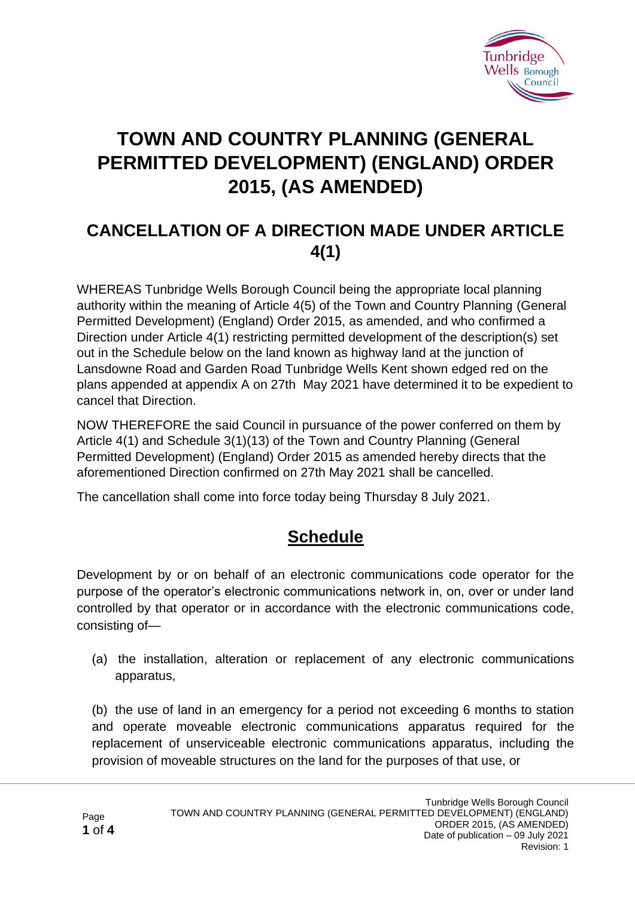

# **TOWN AND COUNTRY PLANNING (GENERAL PERMITTED DEVELOPMENT) (ENGLAND) ORDER 2015, (AS AMENDED)**

## **CANCELLATION OF A DIRECTION MADE UNDER ARTICLE 4(1)**

WHEREAS Tunbridge Wells Borough Council being the appropriate local planning authority within the meaning of Article 4(5) of the Town and Country Planning (General Permitted Development) (England) Order 2015, as amended, and who confirmed a Direction under Article 4(1) restricting permitted development of the description(s) set out in the Schedule below on the land known as highway land at the junction of Lansdowne Road and Garden Road Tunbridge Wells Kent shown edged red on the plans appended at appendix A on 27th May 2021 have determined it to be expedient to cancel that Direction.

NOW THEREFORE the said Council in pursuance of the power conferred on them by Article 4(1) and Schedule 3(1)(13) of the Town and Country Planning (General Permitted Development) (England) Order 2015 as amended hereby directs that the aforementioned Direction confirmed on 27th May 2021 shall be cancelled.

The cancellation shall come into force today being Thursday 8 July 2021.

## **Schedule**

Development by or on behalf of an electronic communications code operator for the purpose of the operator's electronic communications network in, on, over or under land controlled by that operator or in accordance with the electronic communications code, consisting of—

(a) the installation, alteration or replacement of any electronic communications apparatus,

(b) the use of land in an emergency for a period not exceeding 6 months to station and operate moveable electronic communications apparatus required for the replacement of unserviceable electronic communications apparatus, including the provision of moveable structures on the land for the purposes of that use, or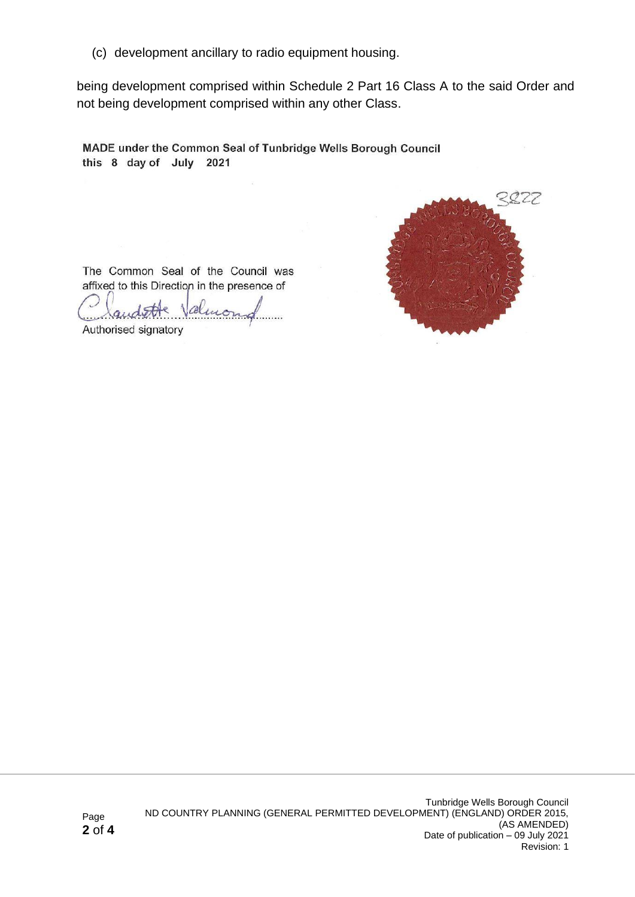(c) development ancillary to radio equipment housing.

being development comprised within Schedule 2 Part 16 Class A to the said Order and not being development comprised within any other Class.

MADE under the Common Seal of Tunbridge Wells Borough Council this 8 day of July 2021



The Common Seal of the Council was affixed to this Direction in the presence of  $\bigcirc$ 

 $\sqrt{2}$ 

Authorised signatory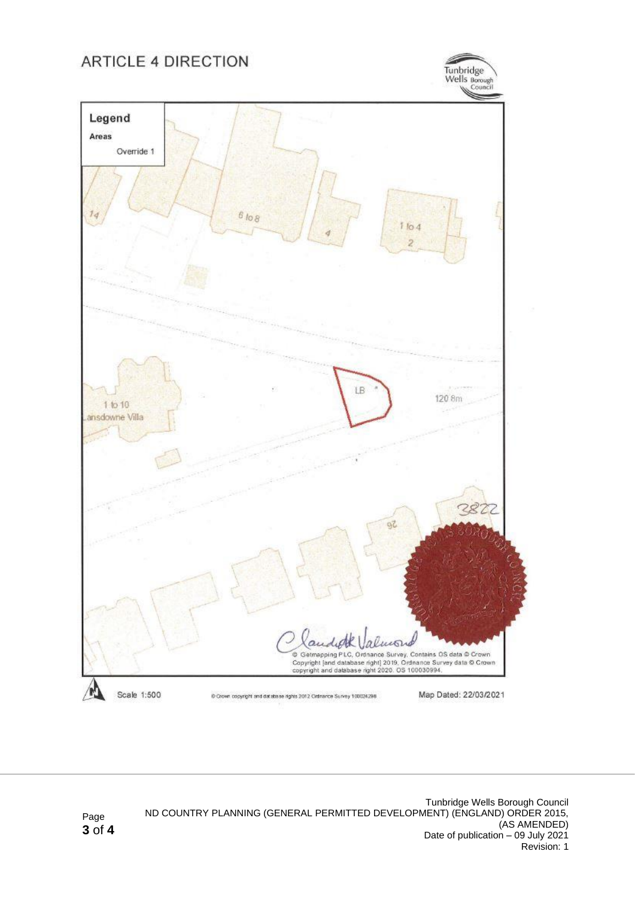#### **ARTICLE 4 DIRECTION**